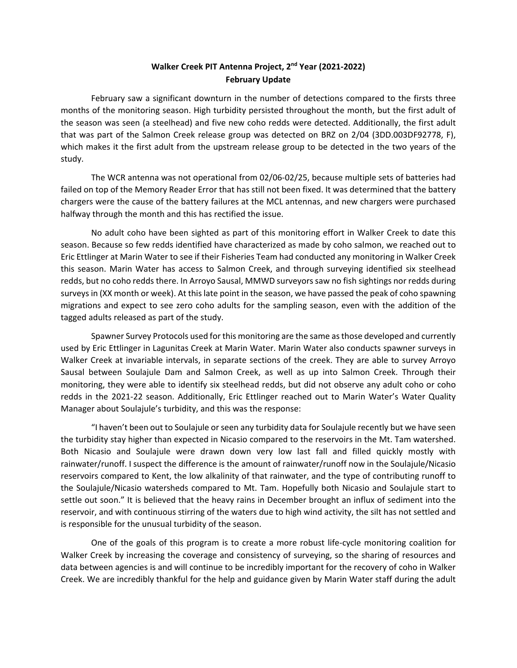## **Walker Creek PIT Antenna Project, 2nd Year (2021-2022) February Update**

February saw a significant downturn in the number of detections compared to the firsts three months of the monitoring season. High turbidity persisted throughout the month, but the first adult of the season was seen (a steelhead) and five new coho redds were detected. Additionally, the first adult that was part of the Salmon Creek release group was detected on BRZ on 2/04 (3DD.003DF92778, F), which makes it the first adult from the upstream release group to be detected in the two years of the study.

The WCR antenna was not operational from 02/06-02/25, because multiple sets of batteries had failed on top of the Memory Reader Error that has still not been fixed. It was determined that the battery chargers were the cause of the battery failures at the MCL antennas, and new chargers were purchased halfway through the month and this has rectified the issue.

No adult coho have been sighted as part of this monitoring effort in Walker Creek to date this season. Because so few redds identified have characterized as made by coho salmon, we reached out to Eric Ettlinger at Marin Water to see if their Fisheries Team had conducted any monitoring in Walker Creek this season. Marin Water has access to Salmon Creek, and through surveying identified six steelhead redds, but no coho redds there. In Arroyo Sausal, MMWD surveyors saw no fish sightings nor redds during surveys in (XX month or week). At this late point in the season, we have passed the peak of coho spawning migrations and expect to see zero coho adults for the sampling season, even with the addition of the tagged adults released as part of the study.

Spawner Survey Protocols used for this monitoring are the same as those developed and currently used by Eric Ettlinger in Lagunitas Creek at Marin Water. Marin Water also conducts spawner surveys in Walker Creek at invariable intervals, in separate sections of the creek. They are able to survey Arroyo Sausal between Soulajule Dam and Salmon Creek, as well as up into Salmon Creek. Through their monitoring, they were able to identify six steelhead redds, but did not observe any adult coho or coho redds in the 2021-22 season. Additionally, Eric Ettlinger reached out to Marin Water's Water Quality Manager about Soulajule's turbidity, and this was the response:

"I haven't been out to Soulajule or seen any turbidity data for Soulajule recently but we have seen the turbidity stay higher than expected in Nicasio compared to the reservoirs in the Mt. Tam watershed. Both Nicasio and Soulajule were drawn down very low last fall and filled quickly mostly with rainwater/runoff. I suspect the difference is the amount of rainwater/runoff now in the Soulajule/Nicasio reservoirs compared to Kent, the low alkalinity of that rainwater, and the type of contributing runoff to the Soulajule/Nicasio watersheds compared to Mt. Tam. Hopefully both Nicasio and Soulajule start to settle out soon." It is believed that the heavy rains in December brought an influx of sediment into the reservoir, and with continuous stirring of the waters due to high wind activity, the silt has not settled and is responsible for the unusual turbidity of the season.

One of the goals of this program is to create a more robust life-cycle monitoring coalition for Walker Creek by increasing the coverage and consistency of surveying, so the sharing of resources and data between agencies is and will continue to be incredibly important for the recovery of coho in Walker Creek. We are incredibly thankful for the help and guidance given by Marin Water staff during the adult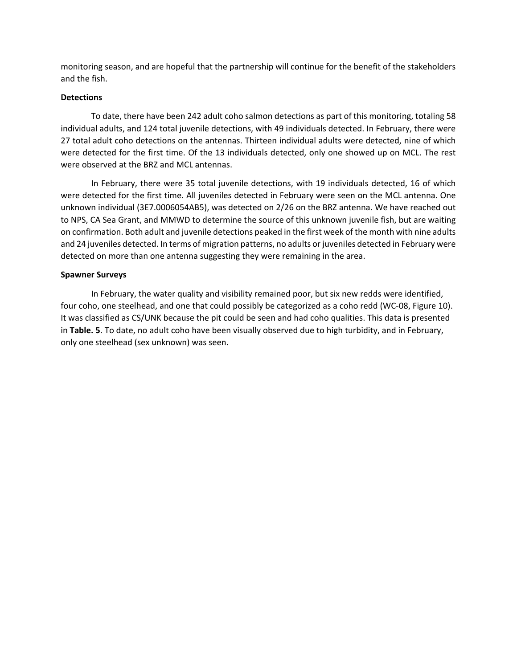monitoring season, and are hopeful that the partnership will continue for the benefit of the stakeholders and the fish.

## **Detections**

To date, there have been 242 adult coho salmon detections as part of this monitoring, totaling 58 individual adults, and 124 total juvenile detections, with 49 individuals detected. In February, there were 27 total adult coho detections on the antennas. Thirteen individual adults were detected, nine of which were detected for the first time. Of the 13 individuals detected, only one showed up on MCL. The rest were observed at the BRZ and MCL antennas.

In February, there were 35 total juvenile detections, with 19 individuals detected, 16 of which were detected for the first time. All juveniles detected in February were seen on the MCL antenna. One unknown individual (3E7.0006054AB5), was detected on 2/26 on the BRZ antenna. We have reached out to NPS, CA Sea Grant, and MMWD to determine the source of this unknown juvenile fish, but are waiting on confirmation. Both adult and juvenile detections peaked in the first week of the month with nine adults and 24 juveniles detected. In terms of migration patterns, no adults or juveniles detected in February were detected on more than one antenna suggesting they were remaining in the area.

## **Spawner Surveys**

In February, the water quality and visibility remained poor, but six new redds were identified, four coho, one steelhead, and one that could possibly be categorized as a coho redd (WC-08, Figure 10). It was classified as CS/UNK because the pit could be seen and had coho qualities. This data is presented in **Table. 5**. To date, no adult coho have been visually observed due to high turbidity, and in February, only one steelhead (sex unknown) was seen.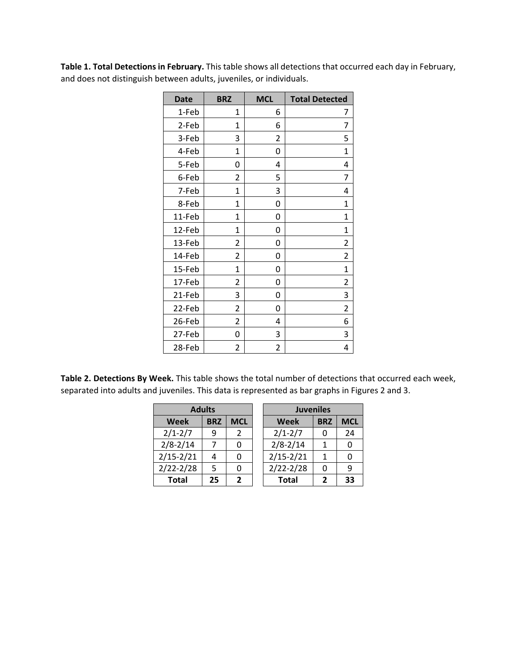**Table 1. Total Detections in February.** This table shows all detections that occurred each day in February, and does not distinguish between adults, juveniles, or individuals.

| <b>Date</b> | <b>BRZ</b>     | <b>MCL</b> | <b>Total Detected</b> |
|-------------|----------------|------------|-----------------------|
| 1-Feb       | 1              | 6          | 7                     |
| 2-Feb       | 1              | 6          | 7                     |
| 3-Feb       | 3              | 2          | 5                     |
| 4-Feb       | 1              | 0          | 1                     |
| 5-Feb       | 0              | 4          | 4                     |
| 6-Feb       | $\overline{2}$ | 5          | 7                     |
| 7-Feb       | 1              | 3          | 4                     |
| 8-Feb       | $\mathbf{1}$   | 0          | 1                     |
| 11-Feb      | $\mathbf{1}$   | 0          | 1                     |
| 12-Feb      | 1              | 0          | 1                     |
| 13-Feb      | 2              | 0          | 2                     |
| 14-Feb      | 2              | 0          | 2                     |
| 15-Feb      | $\mathbf{1}$   | 0          | $\overline{1}$        |
| 17-Feb      | 2              | 0          | 2                     |
| 21-Feb      | 3              | 0          | 3                     |
| 22-Feb      | $\overline{2}$ | 0          | 2                     |
| 26-Feb      | $\overline{2}$ | 4          | 6                     |
| 27-Feb      | 0              | 3          | 3                     |
| 28-Feb      | 2              | 2          | 4                     |

**Table 2. Detections By Week.** This table shows the total number of detections that occurred each week, separated into adults and juveniles. This data is represented as bar graphs in Figures 2 and 3.

| <b>Adults</b> |            |            | <b>Juveniles</b>          |   |            |
|---------------|------------|------------|---------------------------|---|------------|
| <b>Week</b>   | <b>BRZ</b> | <b>MCL</b> | <b>Week</b><br><b>BRZ</b> |   | <b>MCL</b> |
| $2/1 - 2/7$   | q          | 2          | $2/1 - 2/7$               |   | 24         |
| $2/8 - 2/14$  |            |            | $2/8 - 2/14$              |   |            |
| $2/15 - 2/21$ |            |            | $2/15 - 2/21$             |   |            |
| $2/22 - 2/28$ | 5          |            | $2/22 - 2/28$             | O | ٩          |
| <b>Total</b>  | 25         | ν.         | <b>Total</b>              |   | 33         |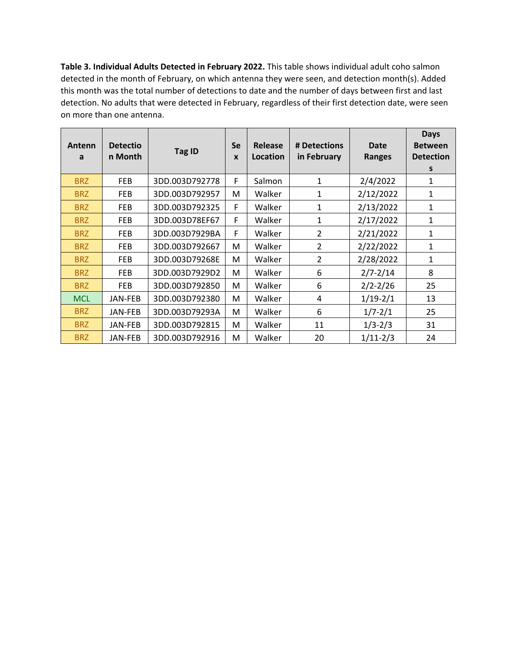**Table 3. Individual Adults Detected in February 2022.** This table shows individual adult coho salmon detected in the month of February, on which antenna they were seen, and detection month(s). Added this month was the total number of detections to date and the number of days between first and last detection. No adults that were detected in February, regardless of their first detection date, were seen on more than one antenna.

| Antenn<br>a | <b>Detectio</b><br>n Month | Tag ID         | <b>Se</b><br>$\boldsymbol{x}$ | Release<br>Location | # Detections<br>in February | Date<br><b>Ranges</b> | <b>Days</b><br><b>Between</b><br><b>Detection</b><br>s |
|-------------|----------------------------|----------------|-------------------------------|---------------------|-----------------------------|-----------------------|--------------------------------------------------------|
| <b>BRZ</b>  | <b>FEB</b>                 | 3DD.003D792778 | F                             | Salmon              | $\mathbf{1}$                | 2/4/2022              | 1                                                      |
| <b>BRZ</b>  | <b>FEB</b>                 | 3DD.003D792957 | м                             | Walker              | 1                           | 2/12/2022             | 1                                                      |
| <b>BRZ</b>  | <b>FEB</b>                 | 3DD.003D792325 | F                             | Walker              | $\mathbf{1}$                | 2/13/2022             | 1                                                      |
| <b>BRZ</b>  | <b>FEB</b>                 | 3DD.003D78EF67 | F                             | Walker              | 1                           | 2/17/2022             | 1                                                      |
| <b>BRZ</b>  | <b>FEB</b>                 | 3DD.003D7929BA | F                             | Walker              | $\overline{2}$              | 2/21/2022             | 1                                                      |
| <b>BRZ</b>  | <b>FEB</b>                 | 3DD.003D792667 | м                             | Walker              | $\mathcal{P}$               | 2/22/2022             | 1                                                      |
| <b>BRZ</b>  | <b>FEB</b>                 | 3DD.003D79268E | м                             | Walker              | 2                           | 2/28/2022             | $\mathbf{1}$                                           |
| <b>BRZ</b>  | <b>FEB</b>                 | 3DD.003D7929D2 | M                             | Walker              | 6                           | $2/7 - 2/14$          | 8                                                      |
| <b>BRZ</b>  | <b>FEB</b>                 | 3DD.003D792850 | M                             | Walker              | 6                           | $2/2 - 2/26$          | 25                                                     |
| <b>MCL</b>  | JAN-FEB                    | 3DD.003D792380 | M                             | Walker              | 4                           | $1/19 - 2/1$          | 13                                                     |
| <b>BRZ</b>  | JAN-FEB                    | 3DD.003D79293A | M                             | Walker              | 6                           | $1/7 - 2/1$           | 25                                                     |
| <b>BRZ</b>  | JAN-FEB                    | 3DD.003D792815 | м                             | Walker              | 11                          | $1/3 - 2/3$           | 31                                                     |
| <b>BRZ</b>  | JAN-FEB                    | 3DD.003D792916 | М                             | Walker              | 20                          | $1/11-2/3$            | 24                                                     |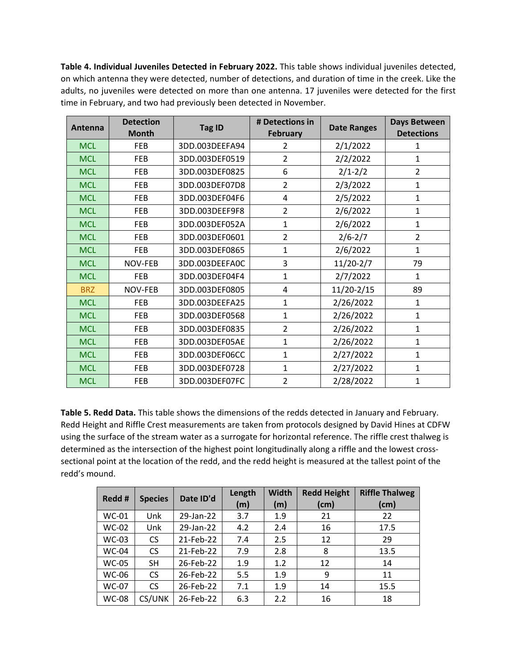**Table 4. Individual Juveniles Detected in February 2022.** This table shows individual juveniles detected, on which antenna they were detected, number of detections, and duration of time in the creek. Like the adults, no juveniles were detected on more than one antenna. 17 juveniles were detected for the first time in February, and two had previously been detected in November.

| Antenna    | <b>Detection</b><br><b>Month</b> | <b>Tag ID</b>  | # Detections in<br><b>February</b> | <b>Date Ranges</b> | <b>Days Between</b><br><b>Detections</b> |
|------------|----------------------------------|----------------|------------------------------------|--------------------|------------------------------------------|
| <b>MCL</b> | FEB                              | 3DD.003DEEFA94 | 2                                  | 2/1/2022           | 1                                        |
| <b>MCL</b> | <b>FEB</b>                       | 3DD.003DEF0519 | $\overline{2}$                     | 2/2/2022           | 1                                        |
| <b>MCL</b> | <b>FEB</b>                       | 3DD.003DEF0825 | 6                                  | $2/1 - 2/2$        | $\overline{2}$                           |
| <b>MCL</b> | <b>FEB</b>                       | 3DD.003DEF07D8 | $\overline{2}$                     | 2/3/2022           | $\mathbf 1$                              |
| <b>MCL</b> | <b>FEB</b>                       | 3DD.003DEF04F6 | 4                                  | 2/5/2022           | $\mathbf{1}$                             |
| <b>MCL</b> | <b>FEB</b>                       | 3DD.003DEEF9F8 | $\overline{2}$                     | 2/6/2022           | $\mathbf{1}$                             |
| <b>MCL</b> | <b>FEB</b>                       | 3DD.003DEF052A | $\mathbf{1}$                       | 2/6/2022           | 1                                        |
| <b>MCL</b> | FEB                              | 3DD.003DEF0601 | $\overline{2}$                     | $2/6 - 2/7$        | $\overline{2}$                           |
| <b>MCL</b> | <b>FEB</b>                       | 3DD.003DEF0865 | $\mathbf{1}$                       | 2/6/2022           | $\mathbf{1}$                             |
| <b>MCL</b> | NOV-FEB                          | 3DD.003DEEFA0C | 3                                  | $11/20-2/7$        | 79                                       |
| <b>MCL</b> | <b>FEB</b>                       | 3DD.003DEF04F4 | $\mathbf{1}$                       | 2/7/2022           | $\mathbf{1}$                             |
| <b>BRZ</b> | NOV-FEB                          | 3DD.003DEF0805 | 4                                  | 11/20-2/15         | 89                                       |
| <b>MCL</b> | FEB                              | 3DD.003DEEFA25 | 1                                  | 2/26/2022          | 1                                        |
| <b>MCL</b> | <b>FEB</b>                       | 3DD.003DEF0568 | $\mathbf{1}$                       | 2/26/2022          | $\mathbf{1}$                             |
| <b>MCL</b> | <b>FEB</b>                       | 3DD.003DEF0835 | $\overline{2}$                     | 2/26/2022          | $\mathbf{1}$                             |
| <b>MCL</b> | <b>FEB</b>                       | 3DD.003DEF05AE | $\mathbf{1}$                       | 2/26/2022          | $\mathbf{1}$                             |
| <b>MCL</b> | FEB                              | 3DD.003DEF06CC | $\mathbf{1}$                       | 2/27/2022          | 1                                        |
| <b>MCL</b> | FEB                              | 3DD.003DEF0728 | $\mathbf{1}$                       | 2/27/2022          | 1                                        |
| <b>MCL</b> | FEB                              | 3DD.003DEF07FC | $\overline{2}$                     | 2/28/2022          | $\mathbf 1$                              |

**Table 5. Redd Data.** This table shows the dimensions of the redds detected in January and February. Redd Height and Riffle Crest measurements are taken from protocols designed by David Hines at CDFW using the surface of the stream water as a surrogate for horizontal reference. The riffle crest thalweg is determined as the intersection of the highest point longitudinally along a riffle and the lowest crosssectional point at the location of the redd, and the redd height is measured at the tallest point of the redd's mound.

| Redd #       | <b>Species</b> | Date ID'd | Length | Width | <b>Redd Height</b> | <b>Riffle Thalweg</b> |
|--------------|----------------|-----------|--------|-------|--------------------|-----------------------|
|              |                |           | (m)    | (m)   | (cm)               | (cm)                  |
| <b>WC-01</b> | Unk            | 29-Jan-22 | 3.7    | 1.9   | 21                 | 22                    |
| <b>WC-02</b> | Unk            | 29-Jan-22 | 4.2    | 2.4   | 16                 | 17.5                  |
| <b>WC-03</b> | <b>CS</b>      | 21-Feb-22 | 7.4    | 2.5   | 12                 | 29                    |
| <b>WC-04</b> | <b>CS</b>      | 21-Feb-22 | 7.9    | 2.8   | 8                  | 13.5                  |
| <b>WC-05</b> | <b>SH</b>      | 26-Feb-22 | 1.9    | 1.2   | 12                 | 14                    |
| WC-06        | <b>CS</b>      | 26-Feb-22 | 5.5    | 1.9   | 9                  | 11                    |
| <b>WC-07</b> | <b>CS</b>      | 26-Feb-22 | 7.1    | 1.9   | 14                 | 15.5                  |
| <b>WC-08</b> | CS/UNK         | 26-Feb-22 | 6.3    | 2.2   | 16                 | 18                    |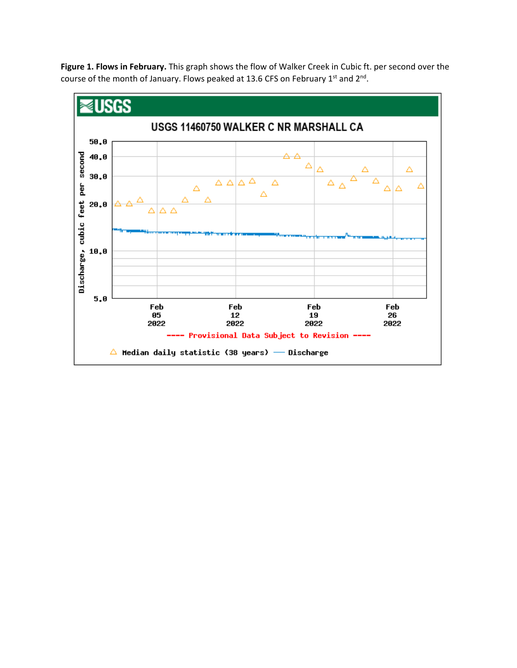**Figure 1. Flows in February.** This graph shows the flow of Walker Creek in Cubic ft. per second over the course of the month of January. Flows peaked at 13.6 CFS on February 1st and 2<sup>nd</sup>.

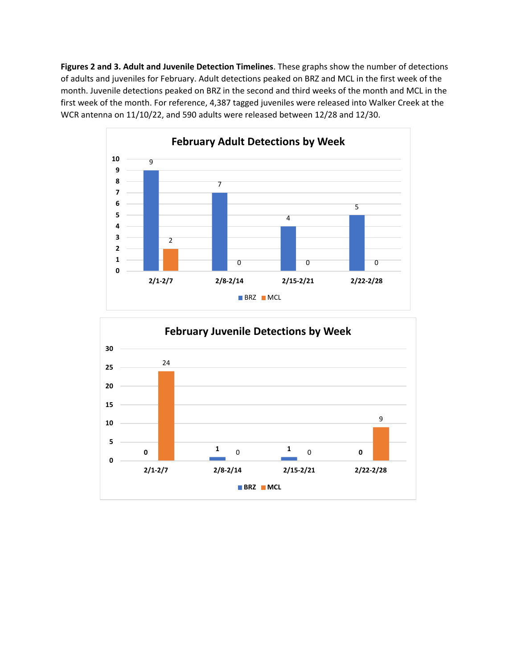**Figures 2 and 3. Adult and Juvenile Detection Timelines**. These graphs show the number of detections of adults and juveniles for February. Adult detections peaked on BRZ and MCL in the first week of the month. Juvenile detections peaked on BRZ in the second and third weeks of the month and MCL in the first week of the month. For reference, 4,387 tagged juveniles were released into Walker Creek at the WCR antenna on 11/10/22, and 590 adults were released between 12/28 and 12/30.



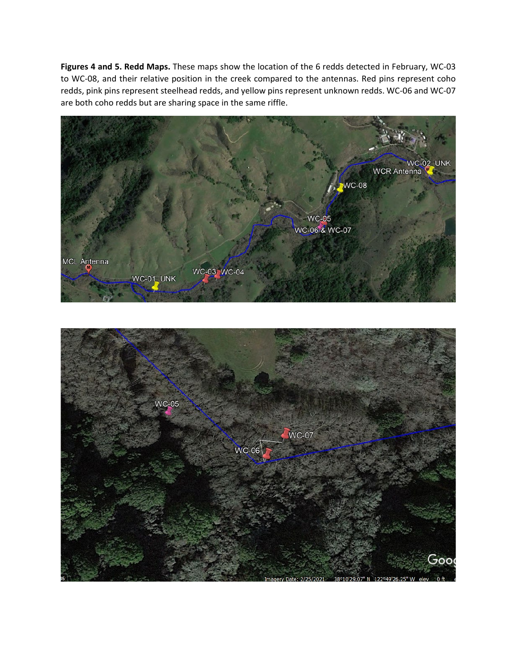**Figures 4 and 5. Redd Maps.** These maps show the location of the 6 redds detected in February, WC-03 to WC-08, and their relative position in the creek compared to the antennas. Red pins represent coho redds, pink pins represent steelhead redds, and yellow pins represent unknown redds. WC-06 and WC-07 are both coho redds but are sharing space in the same riffle.



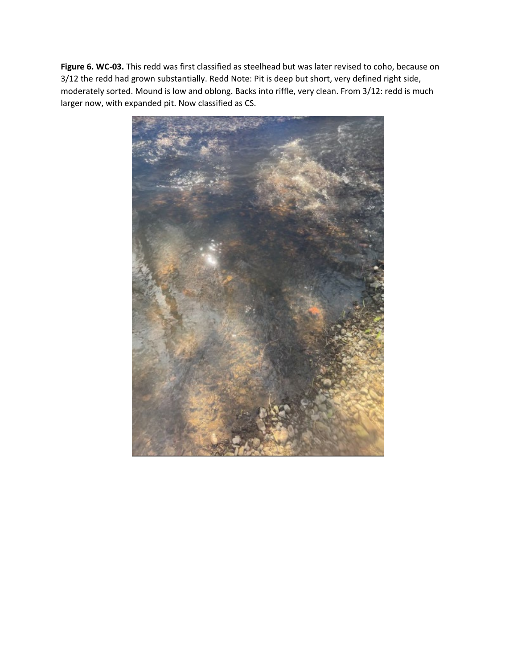**Figure 6. WC-03.** This redd was first classified as steelhead but was later revised to coho, because on 3/12 the redd had grown substantially. Redd Note: Pit is deep but short, very defined right side, moderately sorted. Mound is low and oblong. Backs into riffle, very clean. From 3/12: redd is much larger now, with expanded pit. Now classified as CS.

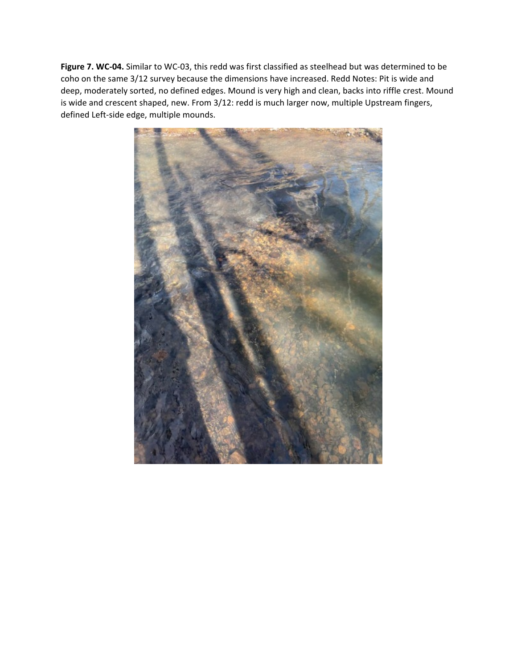**Figure 7. WC-04.** Similar to WC-03, this redd was first classified as steelhead but was determined to be coho on the same 3/12 survey because the dimensions have increased. Redd Notes: Pit is wide and deep, moderately sorted, no defined edges. Mound is very high and clean, backs into riffle crest. Mound is wide and crescent shaped, new. From 3/12: redd is much larger now, multiple Upstream fingers, defined Left-side edge, multiple mounds.

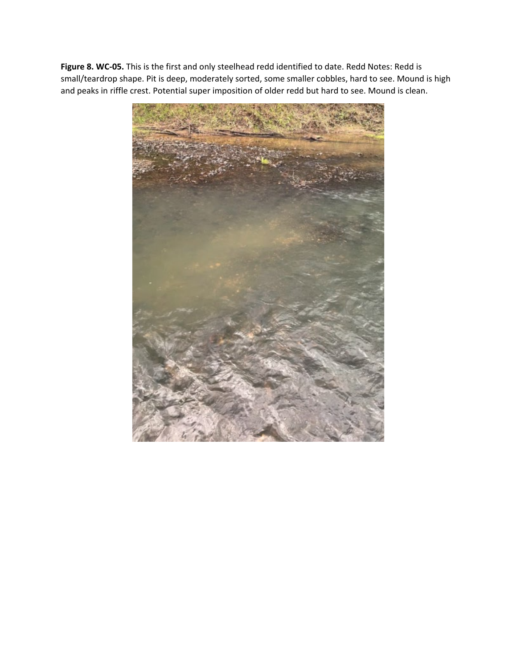**Figure 8. WC-05.** This is the first and only steelhead redd identified to date. Redd Notes: Redd is small/teardrop shape. Pit is deep, moderately sorted, some smaller cobbles, hard to see. Mound is high and peaks in riffle crest. Potential super imposition of older redd but hard to see. Mound is clean.

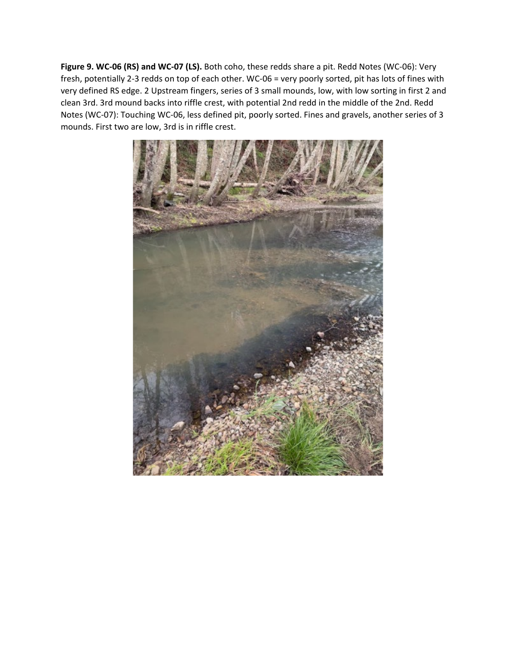**Figure 9. WC-06 (RS) and WC-07 (LS).** Both coho, these redds share a pit. Redd Notes (WC-06): Very fresh, potentially 2-3 redds on top of each other. WC-06 = very poorly sorted, pit has lots of fines with very defined RS edge. 2 Upstream fingers, series of 3 small mounds, low, with low sorting in first 2 and clean 3rd. 3rd mound backs into riffle crest, with potential 2nd redd in the middle of the 2nd. Redd Notes (WC-07): Touching WC-06, less defined pit, poorly sorted. Fines and gravels, another series of 3 mounds. First two are low, 3rd is in riffle crest.